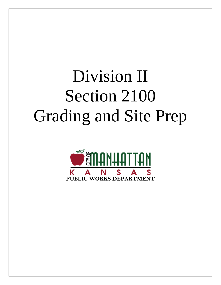# Division II Section 2100 Grading and Site Prep

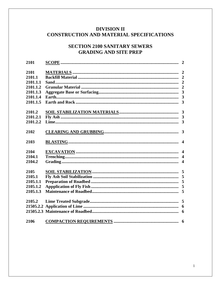# **DIVISION II** CONSTRUCTION AND MATERIAL SPECIFICATIONS

# **SECTION 2100 SANITARY SEWERS GRADING AND SITE PREP**

| 2101     |  |
|----------|--|
| 2101     |  |
| 2101.1   |  |
| 2101.1.1 |  |
| 2101.1.2 |  |
| 2101.1.3 |  |
| 2101.1.4 |  |
| 2101.1.5 |  |
| 2101.2   |  |
| 2101.2.1 |  |
| 2101.2.2 |  |
| 2102     |  |
| 2103     |  |
| 2104     |  |
| 2104.1   |  |
| 2104.2   |  |
| 2105     |  |
| 2105.1   |  |
| 2105.1.1 |  |
| 2105.1.2 |  |
| 2105.1.3 |  |
| 2105.2   |  |
|          |  |
|          |  |
| 2106     |  |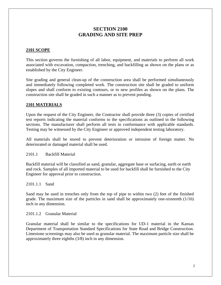# **SECTION 2100 GRADING AND SITE PREP**

#### **2101 SCOPE**

This section governs the furnishing of all labor, equipment, and materials to perform all work associated with excavation, compaction, trenching, and backfilling as shown on the plans or as established by the City Engineer.

Site grading and general clean-up of the construction area shall be performed simultaneously and immediately following completed work. The construction site shall be graded to uniform slopes and shall conform to existing contours, or to new profiles as shown on the plans. The construction site shall be graded in such a manner as to prevent ponding.

#### **2101 MATERIALS**

Upon the request of the City Engineer, the Contractor shall provide three (3) copies of certified test reports indicating the material conforms to the specifications as outlined in the following sections. The manufacturer shall perform all tests in conformance with applicable standards. Testing may be witnessed by the City Engineer or approved independent testing laboratory.

All materials shall be stored to prevent deterioration or intrusion of foreign matter. No deteriorated or damaged material shall be used.

2101.1 Backfill Material

Backfill material will be classified as sand, granular, aggregate base or surfacing, earth or earth and rock. Samples of all imported material to be used for backfill shall be furnished to the City Engineer for approval prior to construction.

2101.1.1 Sand

Sand may be used in trenches only from the top of pipe to within two (2) feet of the finished grade. The maximum size of the particles in sand shall be approximately one-sixteenth  $(1/16)$ inch in any dimension.

#### 2101.1.2 Granular Material

Granular material shall be similar to the specifications for UD-1 material in the Kansas Department of Transportation Standard Specifications for State Road and Bridge Construction. Limestone screenings may also be used as granular material. The maximum particle size shall be approximately three eighths (3/8) inch in any dimension.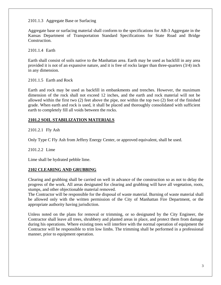## 2101.1.3 Aggregate Base or Surfacing

Aggregate base or surfacing material shall conform to the specifications for AB-3 Aggregate in the Kansas Department of Transportation Standard Specifications for State Road and Bridge Construction.

2101.1.4 Earth

Earth shall consist of soils native to the Manhattan area. Earth may be used as backfill in any area provided it is not of an expansive nature, and it is free of rocks larger than three-quarters (3/4) inch in any dimension.

2101.1.5 Earth and Rock

Earth and rock may be used as backfill in embankments and trenches. However, the maximum dimension of the rock shall not exceed 12 inches, and the earth and rock material will not be allowed within the first two (2) feet above the pipe, nor within the top two (2) feet of the finished grade. When earth and rock is used, it shall be placed and thoroughly consolidated with sufficient earth to completely fill all voids between the rocks.

# **2101.2 SOIL STABILIZATION MATERIALS**

2101.2.1 Fly Ash

Only Type C Fly Ash from Jeffery Energy Center, or approved equivalent, shall be used.

2101.2.2 Lime

Lime shall be hydrated pebble lime.

# **2102 CLEARING AND GRUBBING**

Clearing and grubbing shall be carried on well in advance of the construction so as not to delay the progress of the work. All areas designated for clearing and grubbing will have all vegetation, roots, stumps, and other objectionable material removed.

The Contractor will be responsible for the disposal of waste material. Burning of waste material shall be allowed only with the written permission of the City of Manhattan Fire Department, or the appropriate authority having jurisdiction.

Unless noted on the plans for removal or trimming, or so designated by the City Engineer, the Contractor shall leave all trees, shrubbery and planted areas in place, and protect them from damage during his operations. Where existing trees will interfere with the normal operation of equipment the Contractor will be responsible to trim low limbs. The trimming shall be performed in a professional manner, prior to equipment operation.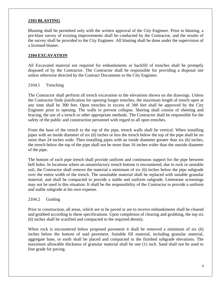#### **2103 BLASTING**

Blasting shall be permitted only with the written approval of the City Engineer. Prior to blasting, a pre-blast survey of existing improvements shall be conducted by the Contractor, and the results of the survey shall be provided to the City Engineer. All blasting shall be done under the supervision of a licensed blaster.

#### **2104 EXCAVATION**

All Excavated material not required for embankments or backfill of trenches shall be promptly disposed of by the Contractor. The Contractor shall be responsible for providing a disposal site unless otherwise directed by the Contract Documents or the City Engineer.

#### 2104.1 Trenching

The Contractor shall perform all trench excavation to the elevations shown on the drawings. Unless the Contractor finds justification for opening longer trenches, the maximum length of trench open at any time shall be 300 feet. Open trenches in excess of 300 feet shall be approved by the City Engineer prior to opening. The walls to prevent collapse. Shoring shall consist of sheeting and bracing, the use of a trench or other appropriate methods. The Contractor shall be responsible for the safety of the public and construction personnel with regard to all open trenches.

From the base of the trench to the top of the pipe, trench walls shall be vertical. When installing pipes with an inside diameter of six (6) inches or less the trench below the top of the pipe shall be no more than 24 inches wide. Then installing pipes with an inside diameter greater than six (6) inches, the trench below the top of the pipe shall not be more than 16 inches wider than the outside diameter of the pipe.

The bottom of each pipe trench shall provide uniform and continuous support for the pipe between bell holes. In locations where an unsatisfactory trench bottom is encountered, due to rock or unstable soil, the Contractor shall remove the material a minimum of six (6) inches below the pipe subgrade over the entire width of the trench. The unsuitable material shall be replaced with suitable granular material, and shall be compacted to provide a stable and uniform subgrade. Limestone screenings may not be used in this situation. It shall be the responsibility of the Contractor to provide a uniform and stable subgrade at his own expense.

#### 2104.2 Grading

Prior to construction, all areas, which are to be paved or are to receive embankments shall be cleared and grubbed according to these specifications. Upon completion of clearing and grubbing, the top six (6) inches shall be scarified and compacted to the required density.

When rock is encountered below proposed pavement it shall be removed a minimum of six (6) inches below the bottom of said pavement. Suitable fill material, including granular material, aggregate base, or earth shall be placed and compacted to the finished subgrade elevations. The maximum allowable thickness of granular material shall be one (1) inch. Sand shall not be used to fine grade for paving.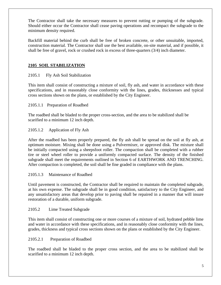The Contractor shall take the necessary measures to prevent rutting or pumping of the subgrade. Should either occur the Contractor shall cease paving operations and recompact the subgrade to the minimum density required.

Backfill material behind the curb shall be free of broken concrete, or other unsuitable, imported, construction material. The Contractor shall use the best available, on-site material, and if possible, it shall be free of gravel, rock or crushed rock in excess of three-quarters (3/4) inch diameter.

# **2105 SOIL STABILIZATION**

# 2105.1 Fly Ash Soil Stabilization

This item shall consist of constructing a mixture of soil, fly ash, and water in accordance with these specifications, and in reasonably close conformity with the lines, grades, thicknesses and typical cross sections shown on the plans, or established by the City Engineer.

2105.1.1 Preparation of Roadbed

The roadbed shall be bladed to the proper cross-section, and the area to be stabilized shall be scarified to a minimum 12 inch depth.

2105.1.2 Application of Fly Ash

After the roadbed has been properly prepared, the fly ash shall be spread on the soil at fly ash, at optimum moisture. Mixing shall be done using a Pulvermixer, or approved disk. The mixture shall be initially compacted using a sheepsfoot roller. The compaction shall be completed with a rubber tire or steel wheel roller to provide a uniformly compacted surface. The density of the finished subgrade shall meet the requirements outlined in Section 6 of EARTHWORK AND TRENCHING. After compaction is completed, the soil shall be fine graded in compliance with the plans.

2105.1.3 Maintenance of Roadbed

Until pavement is constructed, the Contractor shall be required to maintain the completed subgrade, at his own expense. The subgrade shall be in good condition, satisfactory to the City Engineer, and any unsatisfactory areas that develop prior to paving shall be repaired in a manner that will insure restoration of a durable, uniform subgrade.

# 2105.2 Lime Treated Subgrade

This item shall consist of constructing one or more courses of a mixture of soil, hydrated pebble lime and water in accordance with these specifications, and in reasonably close conformity with the lines, grades, thickness and typical cross sections shown on the plans or established by the City Engineer.

# 2105.2.1 Preparation of Roadbed

The roadbed shall be bladed to the proper cross section, and the area to be stabilized shall be scarified to a minimum 12 inch depth.